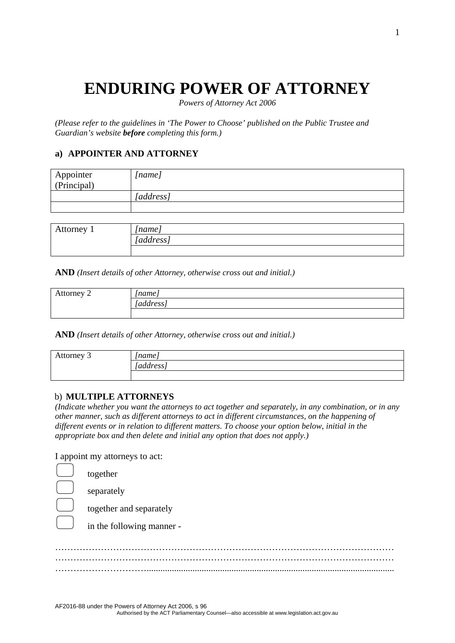# **ENDURING POWER OF ATTORNEY**

*Powers of Attorney Act 2006*

*(Please refer to the guidelines in 'The Power to Choose' published on the Public Trustee and Guardian's website before completing this form.)* 

## **a) APPOINTER AND ATTORNEY**

| Appointer<br>(Principal) | [name]    |
|--------------------------|-----------|
|                          | [address] |
|                          |           |
|                          |           |

| Attorney 1 | 'name <sub>r</sub> |
|------------|--------------------|
|            | [address]          |
|            |                    |

**AND** *(Insert details of other Attorney, otherwise cross out and initial.)* 

| Attorney 2 | 'name           |
|------------|-----------------|
|            | - -<br>address/ |
|            |                 |

**AND** *(Insert details of other Attorney, otherwise cross out and initial.)* 

| Attorney 3 | 'name i   |
|------------|-----------|
|            | [address] |
|            |           |

#### b) **MULTIPLE ATTORNEYS**

*(Indicate whether you want the attorneys to act together and separately, in any combination, or in any other manner, such as different attorneys to act in different circumstances, on the happening of different events or in relation to different matters. To choose your option below, initial in the appropriate box and then delete and initial any option that does not apply.)* 

I appoint my attorneys to act:

| together                  |
|---------------------------|
| separately                |
| together and separately   |
| in the following manner - |
|                           |
|                           |
|                           |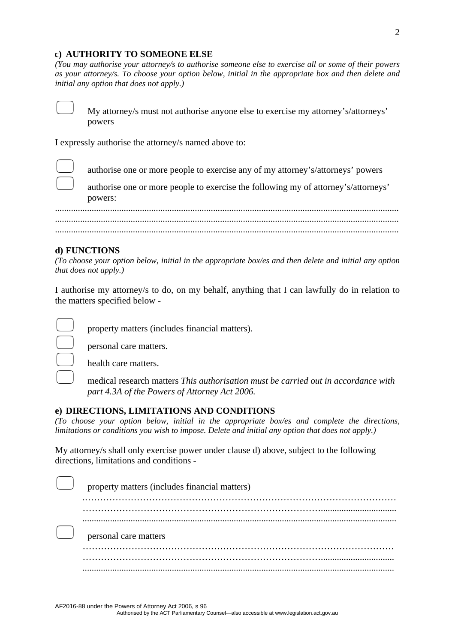#### **c) AUTHORITY TO SOMEONE ELSE**

*(You may authorise your attorney/s to authorise someone else to exercise all or some of their powers as your attorney/s. To choose your option below, initial in the appropriate box and then delete and initial any option that does not apply.)* 



 My attorney/s must not authorise anyone else to exercise my attorney's/attorneys' powers

I expressly authorise the attorney/s named above to:

authorise one or more people to exercise any of my attorney's/attorneys' powers

 authorise one or more people to exercise the following my of attorney's/attorneys' powers:

...................................................................................................................................................... ...................................................................................................................................................... ......................................................................................................................................................

#### **d) FUNCTIONS**

*(To choose your option below, initial in the appropriate box/es and then delete and initial any option that does not apply.)* 

I authorise my attorney/s to do, on my behalf, anything that I can lawfully do in relation to the matters specified below -

personal care matters.

property matters (includes financial matters).

health care matters.

 medical research matters *This authorisation must be carried out in accordance with part 4.3A of the Powers of Attorney Act 2006.*

#### **e) DIRECTIONS, LIMITATIONS AND CONDITIONS**

*(To choose your option below, initial in the appropriate box/es and complete the directions, limitations or conditions you wish to impose. Delete and initial any option that does not apply.)* 

My attorney/s shall only exercise power under clause d) above, subject to the following directions, limitations and conditions -

| property matters (includes financial matters) |
|-----------------------------------------------|
|                                               |
|                                               |
| personal care matters                         |
|                                               |
|                                               |
|                                               |

Authorised by the ACT Parliamentary Counsel—also accessible at www.legislation.act.gov.au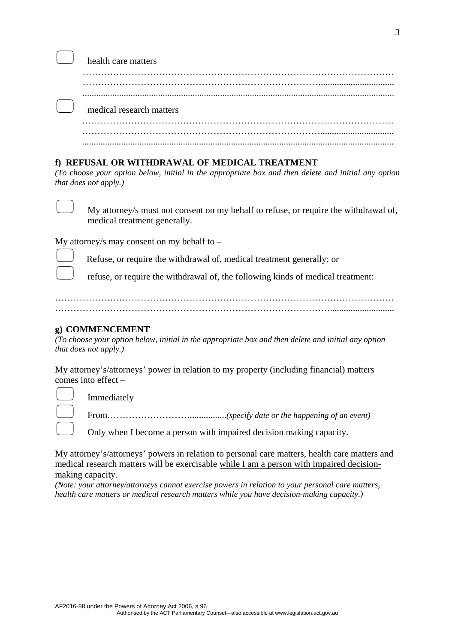| noann carc mancion       |
|--------------------------|
|                          |
|                          |
|                          |
| medical research matters |
|                          |
|                          |
|                          |

#### **f) REFUSAL OR WITHDRAWAL OF MEDICAL TREATMENT**

*(To choose your option below, initial in the appropriate box and then delete and initial any option that does not apply.)* 



 My attorney/s must not consent on my behalf to refuse, or require the withdrawal of, medical treatment generally.

My attorney/s may consent on my behalf to  $-$ 

health care matters

Refuse, or require the withdrawal of, medical treatment generally; or

refuse, or require the withdrawal of, the following kinds of medical treatment:

………………………………………………………………………………………………… ………………………………………………………………………………............................

#### **g) COMMENCEMENT**

Immediately

*(To choose your option below, initial in the appropriate box and then delete and initial any option that does not apply.)* 

My attorney's/attorneys' power in relation to my property (including financial) matters comes into effect –

From………………………................*(specify date or the happening of an event)*

Only when I become a person with impaired decision making capacity.

My attorney's/attorneys' powers in relation to personal care matters, health care matters and medical research matters will be exercisable while I am a person with impaired decisionmaking capacity.

*(Note: your attorney/attorneys cannot exercise powers in relation to your personal care matters, health care matters or medical research matters while you have decision-making capacity.)*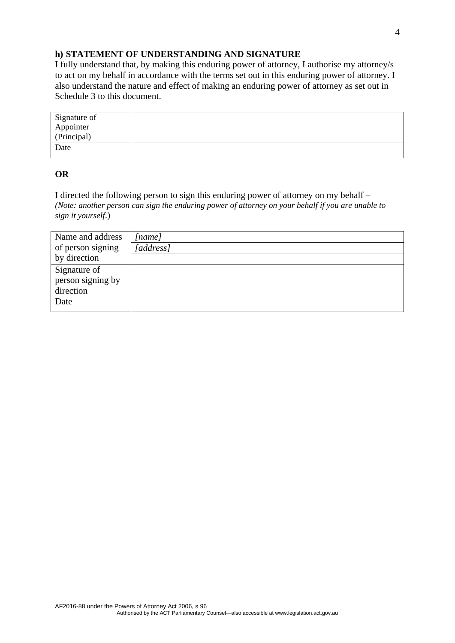## **h) STATEMENT OF UNDERSTANDING AND SIGNATURE**

I fully understand that, by making this enduring power of attorney, I authorise my attorney/s to act on my behalf in accordance with the terms set out in this enduring power of attorney. I also understand the nature and effect of making an enduring power of attorney as set out in Schedule 3 to this document.

#### **OR**

I directed the following person to sign this enduring power of attorney on my behalf – *(Note: another person can sign the enduring power of attorney on your behalf if you are unable to sign it yourself*.)

| Name and address  | [name]   |
|-------------------|----------|
| of person signing | address] |
| by direction      |          |
| Signature of      |          |
| person signing by |          |
| direction         |          |
| Date              |          |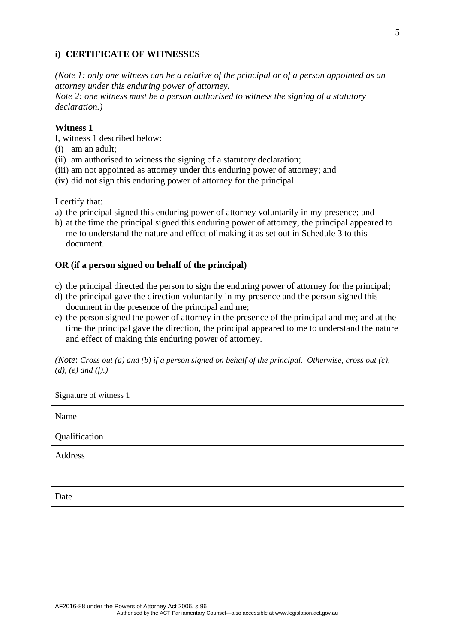## **i) CERTIFICATE OF WITNESSES**

*(Note 1: only one witness can be a relative of the principal or of a person appointed as an attorney under this enduring power of attorney.* 

*Note 2: one witness must be a person authorised to witness the signing of a statutory declaration.)* 

#### **Witness 1**

I, witness 1 described below:

- (i) am an adult;
- (ii) am authorised to witness the signing of a statutory declaration;
- (iii) am not appointed as attorney under this enduring power of attorney; and
- (iv) did not sign this enduring power of attorney for the principal.

I certify that:

- a) the principal signed this enduring power of attorney voluntarily in my presence; and
- b) at the time the principal signed this enduring power of attorney, the principal appeared to me to understand the nature and effect of making it as set out in Schedule 3 to this document.

#### **OR (if a person signed on behalf of the principal)**

- c) the principal directed the person to sign the enduring power of attorney for the principal;
- d) the principal gave the direction voluntarily in my presence and the person signed this document in the presence of the principal and me;
- e) the person signed the power of attorney in the presence of the principal and me; and at the time the principal gave the direction, the principal appeared to me to understand the nature and effect of making this enduring power of attorney.

*(Note*: *Cross out (a) and (b) if a person signed on behalf of the principal. Otherwise, cross out (c), (d), (e) and (f).)* 

| Signature of witness 1 |  |
|------------------------|--|
| Name                   |  |
| Qualification          |  |
| Address                |  |
|                        |  |
| Date                   |  |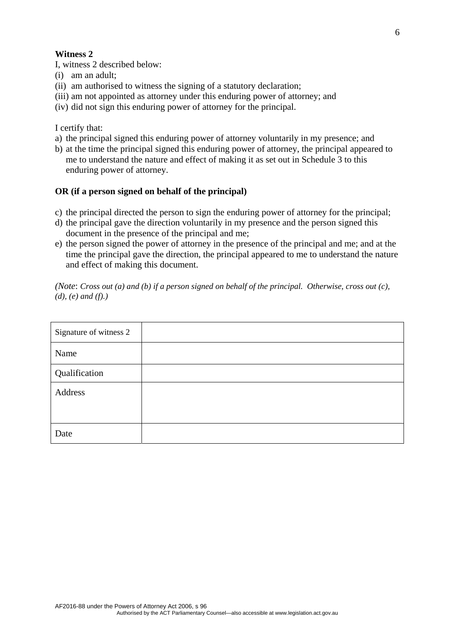#### **Witness 2**

I, witness 2 described below:

- (i) am an adult;
- (ii) am authorised to witness the signing of a statutory declaration;
- (iii) am not appointed as attorney under this enduring power of attorney; and

(iv) did not sign this enduring power of attorney for the principal.

I certify that:

- a) the principal signed this enduring power of attorney voluntarily in my presence; and
- b) at the time the principal signed this enduring power of attorney, the principal appeared to me to understand the nature and effect of making it as set out in Schedule 3 to this enduring power of attorney.

#### **OR (if a person signed on behalf of the principal)**

- c) the principal directed the person to sign the enduring power of attorney for the principal;
- d) the principal gave the direction voluntarily in my presence and the person signed this document in the presence of the principal and me;
- e) the person signed the power of attorney in the presence of the principal and me; and at the time the principal gave the direction, the principal appeared to me to understand the nature and effect of making this document.

*(Note*: *Cross out (a) and (b) if a person signed on behalf of the principal. Otherwise, cross out (c), (d), (e) and (f).)* 

| Signature of witness 2 |  |
|------------------------|--|
| Name                   |  |
| Qualification          |  |
| Address                |  |
|                        |  |
| Date                   |  |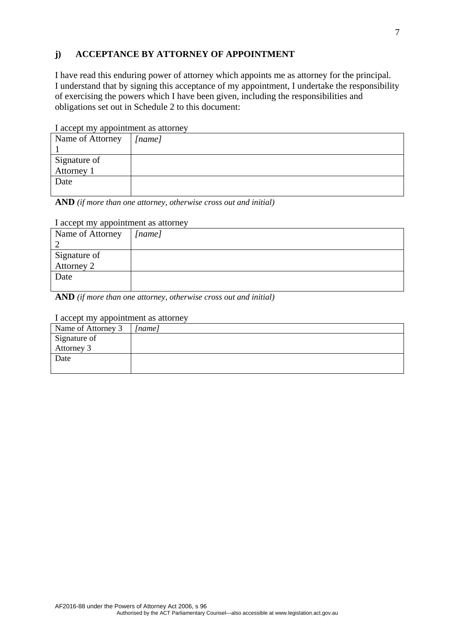## **j) ACCEPTANCE BY ATTORNEY OF APPOINTMENT**

I have read this enduring power of attorney which appoints me as attorney for the principal. I understand that by signing this acceptance of my appointment, I undertake the responsibility of exercising the powers which I have been given, including the responsibilities and obligations set out in Schedule 2 to this document:

I accept my appointment as attorney

| Name of Attorney           | [name] |
|----------------------------|--------|
|                            |        |
|                            |        |
| Signature of<br>Attorney 1 |        |
| Date                       |        |
|                            |        |

**AND** *(if more than one attorney, otherwise cross out and initial)* 

#### I accept my appointment as attorney

| Name of Attorney           | [name] |
|----------------------------|--------|
|                            |        |
|                            |        |
| Signature of<br>Attorney 2 |        |
| Date                       |        |
|                            |        |

**AND** *(if more than one attorney, otherwise cross out and initial)* 

#### I accept my appointment as attorney

| Name of Attorney 3 | [name] |
|--------------------|--------|
| Signature of       |        |
| Attorney 3         |        |
| Date               |        |
|                    |        |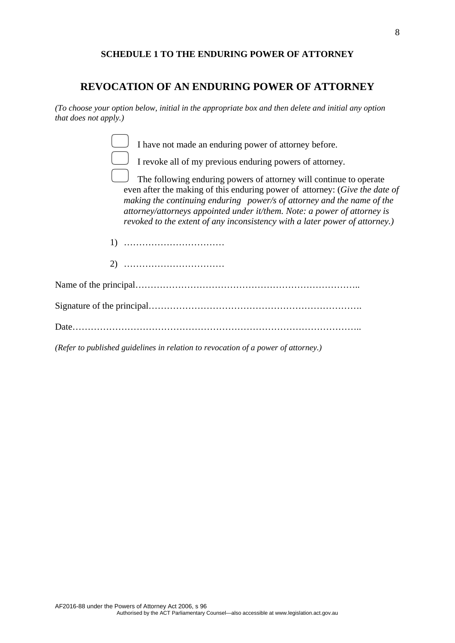#### **SCHEDULE 1 TO THE ENDURING POWER OF ATTORNEY**

## **REVOCATION OF AN ENDURING POWER OF ATTORNEY**

*(To choose your option below, initial in the appropriate box and then delete and initial any option that does not apply.)* 

| I have not made an enduring power of attorney before. |
|-------------------------------------------------------|

| ۰.<br>e e |
|-----------|

I revoke all of my previous enduring powers of attorney.

 The following enduring powers of attorney will continue to operate even after the making of this enduring power of attorney: (*Give the date of making the continuing enduring power/s of attorney and the name of the attorney/attorneys appointed under it/them. Note: a power of attorney is revoked to the extent of any inconsistency with a later power of attorney.)*

1) ……………………………

2) ……………………………

*(Refer to published guidelines in relation to revocation of a power of attorney.)*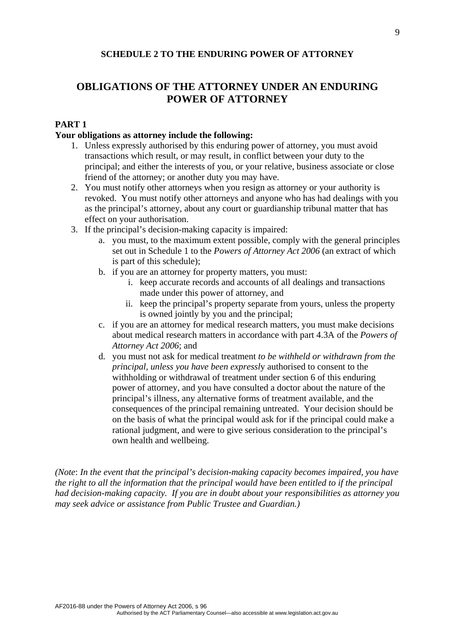#### **SCHEDULE 2 TO THE ENDURING POWER OF ATTORNEY**

# **OBLIGATIONS OF THE ATTORNEY UNDER AN ENDURING POWER OF ATTORNEY**

## **PART 1**

#### **Your obligations as attorney include the following:**

- 1. Unless expressly authorised by this enduring power of attorney, you must avoid transactions which result, or may result, in conflict between your duty to the principal; and either the interests of you, or your relative, business associate or close friend of the attorney; or another duty you may have.
- 2. You must notify other attorneys when you resign as attorney or your authority is revoked. You must notify other attorneys and anyone who has had dealings with you as the principal's attorney, about any court or guardianship tribunal matter that has effect on your authorisation.
- 3. If the principal's decision-making capacity is impaired:
	- a. you must, to the maximum extent possible, comply with the general principles set out in Schedule 1 to the *Powers of Attorney Act 2006* (an extract of which is part of this schedule);
	- b. if you are an attorney for property matters, you must:
		- i. keep accurate records and accounts of all dealings and transactions made under this power of attorney, and
		- ii. keep the principal's property separate from yours, unless the property is owned jointly by you and the principal;
	- c. if you are an attorney for medical research matters, you must make decisions about medical research matters in accordance with part 4.3A of the *Powers of Attorney Act 2006*; and
	- d. you must not ask for medical treatment *to be withheld or withdrawn from the pri*n*cipal, unless you have been expressl*y authorised to consent to the withholding or withdrawal of treatment under section 6 of this enduring power of attorney, and you have consulted a doctor about the nature of the principal's illness, any alternative forms of treatment available, and the consequences of the principal remaining untreated. Your decision should be on the basis of what the principal would ask for if the principal could make a rational judgment, and were to give serious consideration to the principal's own health and wellbeing.

*(Note*: *In the event that the principal's decision-making capacity becomes impaired, you have the right to all the information that the principal would have been entitled to if the principal had decision-making capacity. If you are in doubt about your responsibilities as attorney you may seek advice or assistance from Public Trustee and Guardian.)*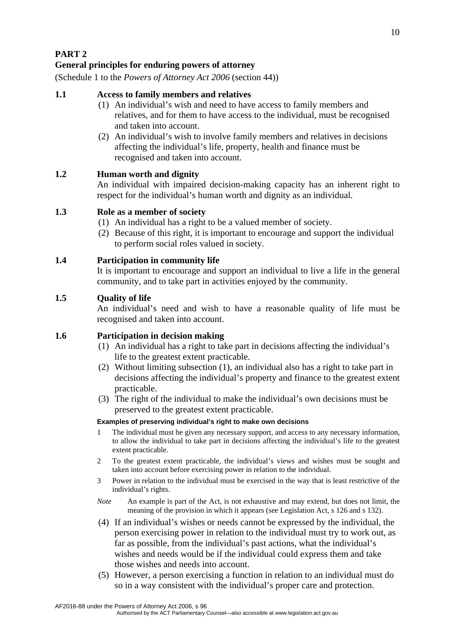**PART 2 General principles for enduring powers of attorney** 

(Schedule 1 to the *Powers of Attorney Act 2006* (section 44))

## **1.1 Access to family members and relatives**

- (1) An individual's wish and need to have access to family members and relatives, and for them to have access to the individual, must be recognised and taken into account.
- (2) An individual's wish to involve family members and relatives in decisions affecting the individual's life, property, health and finance must be recognised and taken into account.

## **1.2 Human worth and dignity**

An individual with impaired decision-making capacity has an inherent right to respect for the individual's human worth and dignity as an individual.

## **1.3 Role as a member of society**

- (1) An individual has a right to be a valued member of society.
- (2) Because of this right, it is important to encourage and support the individual to perform social roles valued in society.

## **1.4 Participation in community life**

It is important to encourage and support an individual to live a life in the general community, and to take part in activities enjoyed by the community.

## **1.5 Quality of life**

An individual's need and wish to have a reasonable quality of life must be recognised and taken into account.

## **1.6 Participation in decision making**

- (1) An individual has a right to take part in decisions affecting the individual's life to the greatest extent practicable.
- (2) Without limiting subsection (1), an individual also has a right to take part in decisions affecting the individual's property and finance to the greatest extent practicable.
- (3) The right of the individual to make the individual's own decisions must be preserved to the greatest extent practicable.

#### **Examples of preserving individual's right to make own decisions**

- 1 The individual must be given any necessary support, and access to any necessary information, to allow the individual to take part in decisions affecting the individual's life to the greatest extent practicable.
- 2 To the greatest extent practicable, the individual's views and wishes must be sought and taken into account before exercising power in relation to the individual.
- 3 Power in relation to the individual must be exercised in the way that is least restrictive of the individual's rights.
- *Note* An example is part of the Act, is not exhaustive and may extend, but does not limit, the meaning of the provision in which it appears (see Legislation Act, s 126 and s 132).
- (4) If an individual's wishes or needs cannot be expressed by the individual, the person exercising power in relation to the individual must try to work out, as far as possible, from the individual's past actions, what the individual's wishes and needs would be if the individual could express them and take those wishes and needs into account.
- (5) However, a person exercising a function in relation to an individual must do so in a way consistent with the individual's proper care and protection.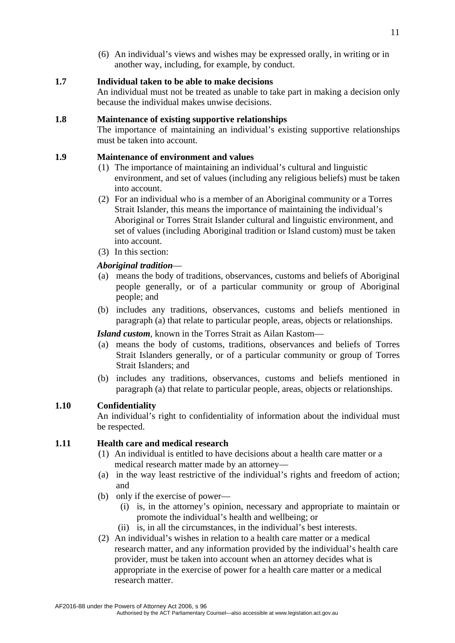(6) An individual's views and wishes may be expressed orally, in writing or in another way, including, for example, by conduct.

## **1.7 Individual taken to be able to make decisions**

An individual must not be treated as unable to take part in making a decision only because the individual makes unwise decisions.

#### **1.8 Maintenance of existing supportive relationships**

The importance of maintaining an individual's existing supportive relationships must be taken into account.

#### **1.9 Maintenance of environment and values**

- (1) The importance of maintaining an individual's cultural and linguistic environment, and set of values (including any religious beliefs) must be taken into account.
- (2) For an individual who is a member of an Aboriginal community or a Torres Strait Islander, this means the importance of maintaining the individual's Aboriginal or Torres Strait Islander cultural and linguistic environment, and set of values (including Aboriginal tradition or Island custom) must be taken into account.
- (3) In this section:

## *Aboriginal tradition*—

- (a) means the body of traditions, observances, customs and beliefs of Aboriginal people generally, or of a particular community or group of Aboriginal people; and
- (b) includes any traditions, observances, customs and beliefs mentioned in paragraph (a) that relate to particular people, areas, objects or relationships.

## *Island custom*, known in the Torres Strait as Ailan Kastom—

- (a) means the body of customs, traditions, observances and beliefs of Torres Strait Islanders generally, or of a particular community or group of Torres Strait Islanders; and
- (b) includes any traditions, observances, customs and beliefs mentioned in paragraph (a) that relate to particular people, areas, objects or relationships.

## **1.10 Confidentiality**

An individual's right to confidentiality of information about the individual must be respected.

## **1.11 Health care and medical research**

- (1) An individual is entitled to have decisions about a health care matter or a medical research matter made by an attorney—
- (a) in the way least restrictive of the individual's rights and freedom of action; and
- (b) only if the exercise of power—
	- (i) is, in the attorney's opinion, necessary and appropriate to maintain or promote the individual's health and wellbeing; or
	- (ii) is, in all the circumstances, in the individual's best interests.
- (2) An individual's wishes in relation to a health care matter or a medical research matter, and any information provided by the individual's health care provider, must be taken into account when an attorney decides what is appropriate in the exercise of power for a health care matter or a medical research matter.